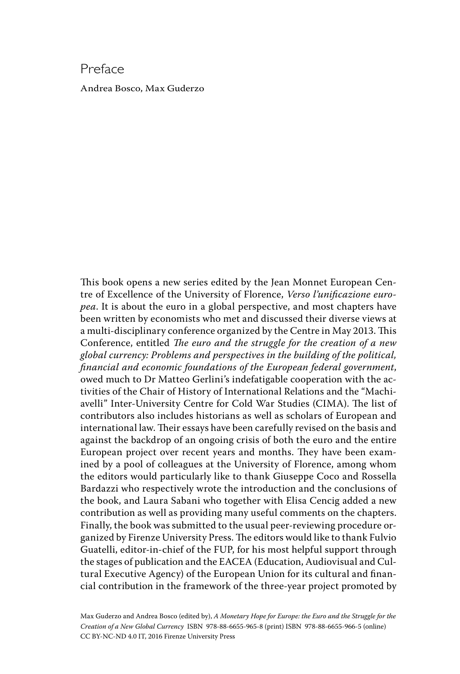## Preface

Andrea Bosco, Max Guderzo

This book opens a new series edited by the Jean Monnet European Centre of Excellence of the University of Florence, *Verso l'unificazione europea*. It is about the euro in a global perspective, and most chapters have been written by economists who met and discussed their diverse views at a multi-disciplinary conference organized by the Centre in May 2013. This Conference, entitled *The euro and the struggle for the creation of a new global currency: Problems and perspectives in the building of the political, financial and economic foundations of the European federal government*, owed much to Dr Matteo Gerlini's indefatigable cooperation with the activities of the Chair of History of International Relations and the "Machiavelli" Inter-University Centre for Cold War Studies (CIMA). The list of contributors also includes historians as well as scholars of European and international law. Their essays have been carefully revised on the basis and against the backdrop of an ongoing crisis of both the euro and the entire European project over recent years and months. They have been examined by a pool of colleagues at the University of Florence, among whom the editors would particularly like to thank Giuseppe Coco and Rossella Bardazzi who respectively wrote the introduction and the conclusions of the book, and Laura Sabani who together with Elisa Cencig added a new contribution as well as providing many useful comments on the chapters. Finally, the book was submitted to the usual peer-reviewing procedure organized by Firenze University Press. The editors would like to thank Fulvio Guatelli, editor-in-chief of the FUP, for his most helpful support through the stages of publication and the EACEA (Education, Audiovisual and Cultural Executive Agency) of the European Union for its cultural and financial contribution in the framework of the three-year project promoted by

Max Guderzo and Andrea Bosco (edited by), *A Monetary Hope for Europe: the Euro and the Struggle for the Creation of a New Global Currency* ISBN 978-88-6655-965-8 (print) ISBN 978-88-6655-966-5 (online) CC BY-NC-ND 4.0 IT, 2016 Firenze University Press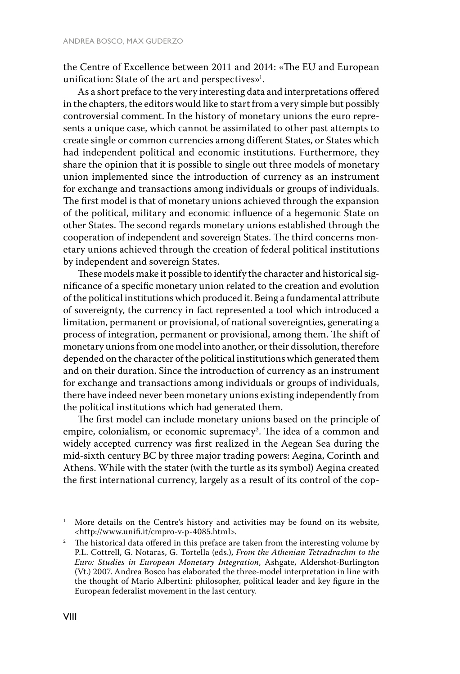the Centre of Excellence between 2011 and 2014: «The EU and European unification: State of the  $\arctan$  and perspectives $\mathcal{P}^1$ .

As a short preface to the very interesting data and interpretations offered in the chapters, the editors would like to start from a very simple but possibly controversial comment. In the history of monetary unions the euro represents a unique case, which cannot be assimilated to other past attempts to create single or common currencies among different States, or States which had independent political and economic institutions. Furthermore, they share the opinion that it is possible to single out three models of monetary union implemented since the introduction of currency as an instrument for exchange and transactions among individuals or groups of individuals. The first model is that of monetary unions achieved through the expansion of the political, military and economic influence of a hegemonic State on other States. The second regards monetary unions established through the cooperation of independent and sovereign States. The third concerns monetary unions achieved through the creation of federal political institutions by independent and sovereign States.

These models make it possible to identify the character and historical significance of a specific monetary union related to the creation and evolution of the political institutions which produced it. Being a fundamental attribute of sovereignty, the currency in fact represented a tool which introduced a limitation, permanent or provisional, of national sovereignties, generating a process of integration, permanent or provisional, among them. The shift of monetary unions from one model into another, or their dissolution, therefore depended on the character of the political institutions which generated them and on their duration. Since the introduction of currency as an instrument for exchange and transactions among individuals or groups of individuals, there have indeed never been monetary unions existing independently from the political institutions which had generated them.

The first model can include monetary unions based on the principle of empire, colonialism, or economic supremacy<sup>2</sup>. The idea of a common and widely accepted currency was first realized in the Aegean Sea during the mid-sixth century BC by three major trading powers: Aegina, Corinth and Athens. While with the stater (with the turtle as its symbol) Aegina created the first international currency, largely as a result of its control of the cop-

<sup>&</sup>lt;sup>1</sup> More details on the Centre's history and activities may be found on its website, <http://www.unifi.it/cmpro-v-p-4085.html>.

 $2$  The historical data offered in this preface are taken from the interesting volume by P.L. Cottrell, G. Notaras, G. Tortella (eds.), *From the Athenian Tetradrachm to the Euro: Studies in European Monetary Integration*, Ashgate, Aldershot-Burlington (Vt.) 2007. Andrea Bosco has elaborated the three-model interpretation in line with the thought of Mario Albertini: philosopher, political leader and key figure in the European federalist movement in the last century.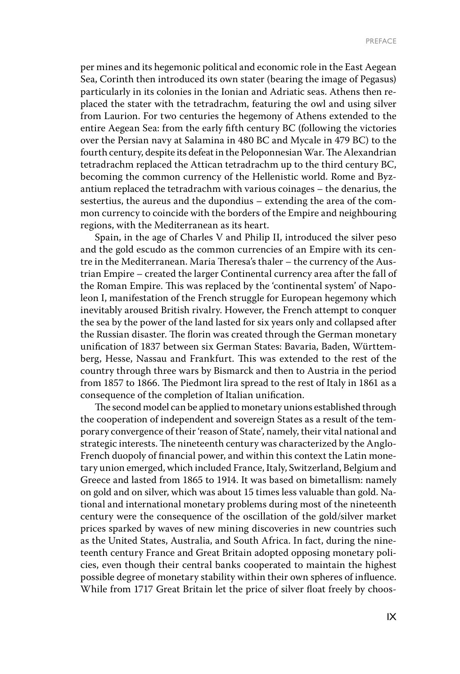per mines and its hegemonic political and economic role in the East Aegean Sea, Corinth then introduced its own stater (bearing the image of Pegasus) particularly in its colonies in the Ionian and Adriatic seas. Athens then replaced the stater with the tetradrachm, featuring the owl and using silver from Laurion. For two centuries the hegemony of Athens extended to the entire Aegean Sea: from the early fifth century BC (following the victories over the Persian navy at Salamina in 480 BC and Mycale in 479 BC) to the fourth century, despite its defeat in the Peloponnesian War. The Alexandrian tetradrachm replaced the Attican tetradrachm up to the third century BC, becoming the common currency of the Hellenistic world. Rome and Byzantium replaced the tetradrachm with various coinages – the denarius, the sestertius, the aureus and the dupondius – extending the area of the common currency to coincide with the borders of the Empire and neighbouring regions, with the Mediterranean as its heart.

Spain, in the age of Charles V and Philip II, introduced the silver peso and the gold escudo as the common currencies of an Empire with its centre in the Mediterranean. Maria Theresa's thaler – the currency of the Austrian Empire – created the larger Continental currency area after the fall of the Roman Empire. This was replaced by the 'continental system' of Napoleon I, manifestation of the French struggle for European hegemony which inevitably aroused British rivalry. However, the French attempt to conquer the sea by the power of the land lasted for six years only and collapsed after the Russian disaster. The florin was created through the German monetary unification of 1837 between six German States: Bavaria, Baden, Württemberg, Hesse, Nassau and Frankfurt. This was extended to the rest of the country through three wars by Bismarck and then to Austria in the period from 1857 to 1866. The Piedmont lira spread to the rest of Italy in 1861 as a consequence of the completion of Italian unification.

The second model can be applied to monetary unions established through the cooperation of independent and sovereign States as a result of the temporary convergence of their 'reason of State', namely, their vital national and strategic interests. The nineteenth century was characterized by the Anglo-French duopoly of financial power, and within this context the Latin monetary union emerged, which included France, Italy, Switzerland, Belgium and Greece and lasted from 1865 to 1914. It was based on bimetallism: namely on gold and on silver, which was about 15 times less valuable than gold. National and international monetary problems during most of the nineteenth century were the consequence of the oscillation of the gold/silver market prices sparked by waves of new mining discoveries in new countries such as the United States, Australia, and South Africa. In fact, during the nineteenth century France and Great Britain adopted opposing monetary policies, even though their central banks cooperated to maintain the highest possible degree of monetary stability within their own spheres of influence. While from 1717 Great Britain let the price of silver float freely by choos-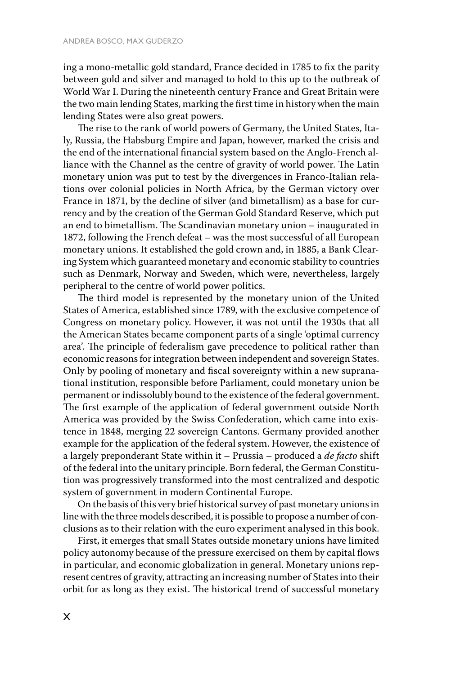ing a mono-metallic gold standard, France decided in 1785 to fix the parity between gold and silver and managed to hold to this up to the outbreak of World War I. During the nineteenth century France and Great Britain were the two main lending States, marking the first time in history when the main lending States were also great powers.

The rise to the rank of world powers of Germany, the United States, Italy, Russia, the Habsburg Empire and Japan, however, marked the crisis and the end of the international financial system based on the Anglo-French alliance with the Channel as the centre of gravity of world power. The Latin monetary union was put to test by the divergences in Franco-Italian relations over colonial policies in North Africa, by the German victory over France in 1871, by the decline of silver (and bimetallism) as a base for currency and by the creation of the German Gold Standard Reserve, which put an end to bimetallism. The Scandinavian monetary union – inaugurated in 1872, following the French defeat – was the most successful of all European monetary unions. It established the gold crown and, in 1885, a Bank Clearing System which guaranteed monetary and economic stability to countries such as Denmark, Norway and Sweden, which were, nevertheless, largely peripheral to the centre of world power politics.

The third model is represented by the monetary union of the United States of America, established since 1789, with the exclusive competence of Congress on monetary policy. However, it was not until the 1930s that all the American States became component parts of a single 'optimal currency area'. The principle of federalism gave precedence to political rather than economic reasons for integration between independent and sovereign States. Only by pooling of monetary and fiscal sovereignty within a new supranational institution, responsible before Parliament, could monetary union be permanent or indissolubly bound to the existence of the federal government. The first example of the application of federal government outside North America was provided by the Swiss Confederation, which came into existence in 1848, merging 22 sovereign Cantons. Germany provided another example for the application of the federal system. However, the existence of a largely preponderant State within it – Prussia – produced a *de facto* shift of the federal into the unitary principle. Born federal, the German Constitution was progressively transformed into the most centralized and despotic system of government in modern Continental Europe.

On the basis of this very brief historical survey of past monetary unions in line with the three models described, it is possible to propose a number of conclusions as to their relation with the euro experiment analysed in this book.

First, it emerges that small States outside monetary unions have limited policy autonomy because of the pressure exercised on them by capital flows in particular, and economic globalization in general. Monetary unions represent centres of gravity, attracting an increasing number of States into their orbit for as long as they exist. The historical trend of successful monetary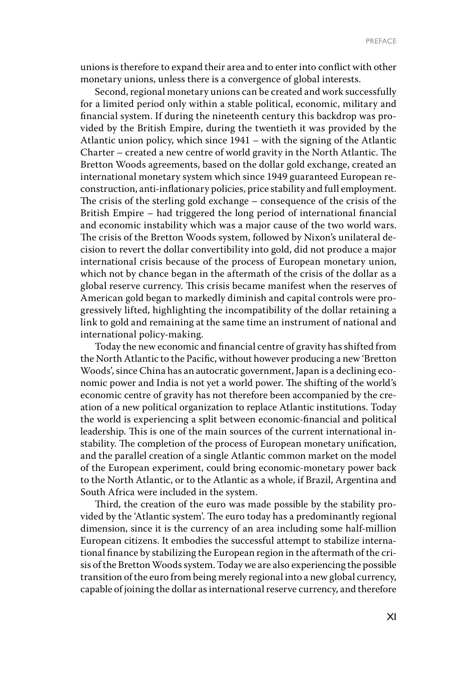unions is therefore to expand their area and to enter into conflict with other monetary unions, unless there is a convergence of global interests.

Second, regional monetary unions can be created and work successfully for a limited period only within a stable political, economic, military and financial system. If during the nineteenth century this backdrop was provided by the British Empire, during the twentieth it was provided by the Atlantic union policy, which since 1941 – with the signing of the Atlantic Charter – created a new centre of world gravity in the North Atlantic. The Bretton Woods agreements, based on the dollar gold exchange, created an international monetary system which since 1949 guaranteed European reconstruction, anti-inflationary policies, price stability and full employment. The crisis of the sterling gold exchange – consequence of the crisis of the British Empire – had triggered the long period of international financial and economic instability which was a major cause of the two world wars. The crisis of the Bretton Woods system, followed by Nixon's unilateral decision to revert the dollar convertibility into gold, did not produce a major international crisis because of the process of European monetary union, which not by chance began in the aftermath of the crisis of the dollar as a global reserve currency. This crisis became manifest when the reserves of American gold began to markedly diminish and capital controls were progressively lifted, highlighting the incompatibility of the dollar retaining a link to gold and remaining at the same time an instrument of national and international policy-making.

Today the new economic and financial centre of gravity has shifted from the North Atlantic to the Pacific, without however producing a new 'Bretton Woods', since China has an autocratic government, Japan is a declining economic power and India is not yet a world power. The shifting of the world's economic centre of gravity has not therefore been accompanied by the creation of a new political organization to replace Atlantic institutions. Today the world is experiencing a split between economic-financial and political leadership. This is one of the main sources of the current international instability. The completion of the process of European monetary unification, and the parallel creation of a single Atlantic common market on the model of the European experiment, could bring economic-monetary power back to the North Atlantic, or to the Atlantic as a whole, if Brazil, Argentina and South Africa were included in the system.

Third, the creation of the euro was made possible by the stability provided by the 'Atlantic system'. The euro today has a predominantly regional dimension, since it is the currency of an area including some half-million European citizens. It embodies the successful attempt to stabilize international finance by stabilizing the European region in the aftermath of the crisis of the Bretton Woods system. Today we are also experiencing the possible transition of the euro from being merely regional into a new global currency, capable of joining the dollar as international reserve currency, and therefore